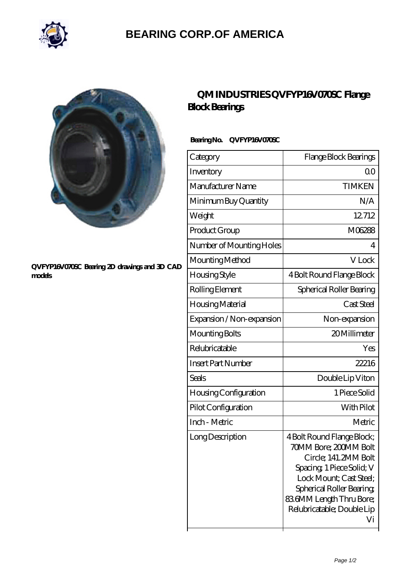

## **[BEARING CORP.OF AMERICA](https://bluemondayreview.com)**



#### **[QVFYP16V070SC Bearing 2D drawings and 3D CAD](https://bluemondayreview.com/pic-175445.html) [models](https://bluemondayreview.com/pic-175445.html)**

## **[QM INDUSTRIES QVFYP16V070SC Flange](https://bluemondayreview.com/au-175445-qm-industries-qvfyp16v070sc-flange-block-bearings.html) [Block Bearings](https://bluemondayreview.com/au-175445-qm-industries-qvfyp16v070sc-flange-block-bearings.html)**

### **Bearing No. QVFYP16V070SC**

| Category                     | Flange Block Bearings                                                                                                                                                                                                         |
|------------------------------|-------------------------------------------------------------------------------------------------------------------------------------------------------------------------------------------------------------------------------|
| Inventory                    | 0 <sub>0</sub>                                                                                                                                                                                                                |
| Manufacturer Name            | <b>TIMKEN</b>                                                                                                                                                                                                                 |
| Minimum Buy Quantity         | N/A                                                                                                                                                                                                                           |
| Weight                       | 12712                                                                                                                                                                                                                         |
| Product Group                | M06288                                                                                                                                                                                                                        |
| Number of Mounting Holes     | 4                                                                                                                                                                                                                             |
| Mounting Method              | V Lock                                                                                                                                                                                                                        |
| Housing Style                | 4 Bolt Round Flange Block                                                                                                                                                                                                     |
| Rolling Element              | Spherical Roller Bearing                                                                                                                                                                                                      |
| Housing Material             | Cast Steel                                                                                                                                                                                                                    |
| Expansion / Non-expansion    | Non-expansion                                                                                                                                                                                                                 |
| Mounting Bolts               | 20Millimeter                                                                                                                                                                                                                  |
| Relubricatable               | Yes                                                                                                                                                                                                                           |
| <b>Insert Part Number</b>    | 22216                                                                                                                                                                                                                         |
| Seals                        | Double Lip Viton                                                                                                                                                                                                              |
| <b>Housing Configuration</b> | 1 Piece Solid                                                                                                                                                                                                                 |
| Pilot Configuration          | With Pilot                                                                                                                                                                                                                    |
| Inch - Metric                | Metric                                                                                                                                                                                                                        |
| Long Description             | 4 Bolt Round Flange Block;<br>70MM Bore; 200MM Bolt<br>Circle; 141.2MM Bolt<br>Spacing 1 Piece Solid; V<br>Lock Mount; Cast Steel;<br>Spherical Roller Bearing<br>836MM Length Thru Bore;<br>Relubricatable; Double Lip<br>Vi |